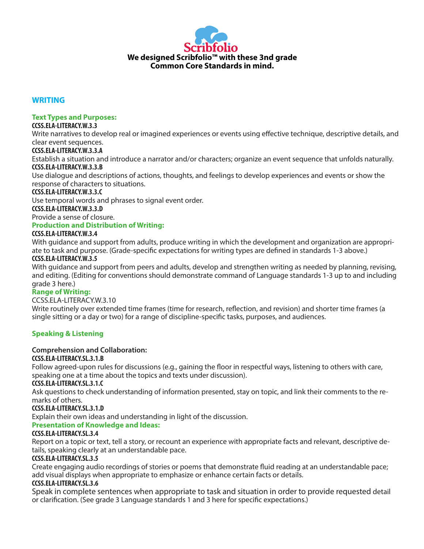

### **WRITING**

### **Text Types and Purposes:**

### **CCSS.ELA-LITERACY.W.3.3**

Write narratives to develop real or imagined experiences or events using effective technique, descriptive details, and clear event sequences.

### **CCSS.ELA-LITERACY.W.3.3.A**

Establish a situation and introduce a narrator and/or characters; organize an event sequence that unfolds naturally. **CCSS.ELA-LITERACY.W.3.3.B**

Use dialogue and descriptions of actions, thoughts, and feelings to develop experiences and events or show the response of characters to situations.

#### **CCSS.ELA-LITERACY.W.3.3.C**

Use temporal words and phrases to signal event order.

**CCSS.ELA-LITERACY.W.3.3.D**

Provide a sense of closure.

### **Production and Distribution of Writing:**

### **CCSS.ELA-LITERACY.W.3.4**

With guidance and support from adults, produce writing in which the development and organization are appropriate to task and purpose. (Grade-specific expectations for writing types are defined in standards 1-3 above.)

### **CCSS.ELA-LITERACY.W.3.5**

With guidance and support from peers and adults, develop and strengthen writing as needed by planning, revising, and editing. (Editing for conventions should demonstrate command of Language standards 1-3 up to and including grade 3 here.)

### **Range of Writing:**

### CCSS.ELA-LITERACY.W.3.10

Write routinely over extended time frames (time for research, reflection, and revision) and shorter time frames (a single sitting or a day or two) for a range of discipline-specific tasks, purposes, and audiences.

### **Speaking & Listening**

### **Comprehension and Collaboration:**

### **CCSS.ELA-LITERACY.SL.3.1.B**

Follow agreed-upon rules for discussions (e.g., gaining the floor in respectful ways, listening to others with care, speaking one at a time about the topics and texts under discussion).

### **CCSS.ELA-LITERACY.SL.3.1.C**

Ask questions to check understanding of information presented, stay on topic, and link their comments to the remarks of others.

#### **CCSS.ELA-LITERACY.SL.3.1.D**

Explain their own ideas and understanding in light of the discussion.

### **Presentation of Knowledge and Ideas:**

### **CCSS.ELA-LITERACY.SL.3.4**

Report on a topic or text, tell a story, or recount an experience with appropriate facts and relevant, descriptive details, speaking clearly at an understandable pace.

### **CCSS.ELA-LITERACY.SL.3.5**

Create engaging audio recordings of stories or poems that demonstrate fluid reading at an understandable pace; add visual displays when appropriate to emphasize or enhance certain facts or details.

### **CCSS.ELA-LITERACY.SL.3.6**

Speak in complete sentences when appropriate to task and situation in order to provide requested detail or clarification. (See grade 3 Language standards 1 and 3 here for specific expectations.)